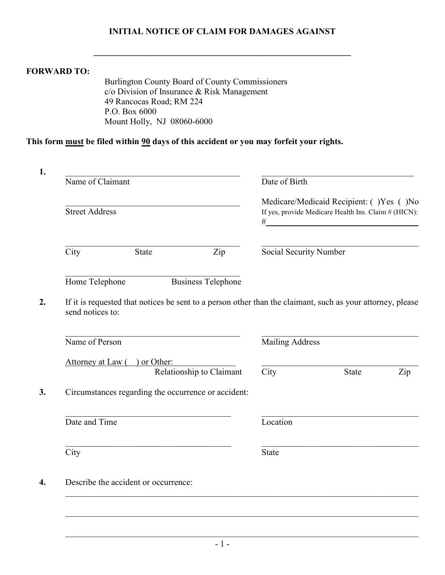## **INITIAL NOTICE OF CLAIM FOR DAMAGES AGAINST**

**\_\_\_\_\_\_\_\_\_\_\_\_\_\_\_\_\_\_\_\_\_\_\_\_\_\_\_\_\_\_\_\_\_\_\_\_\_\_\_\_\_\_\_\_\_\_\_\_\_\_\_\_\_\_\_\_\_\_\_** 

## **FORWARD TO:**

Burlington County Board of County Commissioners c/o Division of Insurance & Risk Management 49 Rancocas Road; RM 224 P.O. Box 6000 Mount Holly, NJ 08060-6000

## **This form must be filed within 90 days of this accident or you may forfeit your rights.**

| Name of Claimant      |                                                                                                            |                           | Date of Birth                                                                                        |              |     |
|-----------------------|------------------------------------------------------------------------------------------------------------|---------------------------|------------------------------------------------------------------------------------------------------|--------------|-----|
| <b>Street Address</b> |                                                                                                            |                           | Medicare/Medicaid Recipient: ()Yes ()No<br>If yes, provide Medicare Health Ins. Claim # (HICN):<br># |              |     |
| City                  | State                                                                                                      | Zip                       | Social Security Number                                                                               |              |     |
| Home Telephone        |                                                                                                            | <b>Business Telephone</b> |                                                                                                      |              |     |
| send notices to:      | If it is requested that notices be sent to a person other than the claimant, such as your attorney, please |                           |                                                                                                      |              |     |
|                       |                                                                                                            |                           |                                                                                                      |              |     |
| Name of Person        |                                                                                                            |                           | <b>Mailing Address</b>                                                                               |              |     |
|                       |                                                                                                            |                           |                                                                                                      |              |     |
|                       | Attorney at Law () or Other:<br>Relationship to Claimant                                                   |                           | City                                                                                                 | <b>State</b> | Zip |
|                       | Circumstances regarding the occurrence or accident:                                                        |                           |                                                                                                      |              |     |
| Date and Time         |                                                                                                            |                           | Location                                                                                             |              |     |
| $\overline{City}$     |                                                                                                            |                           | <b>State</b>                                                                                         |              |     |